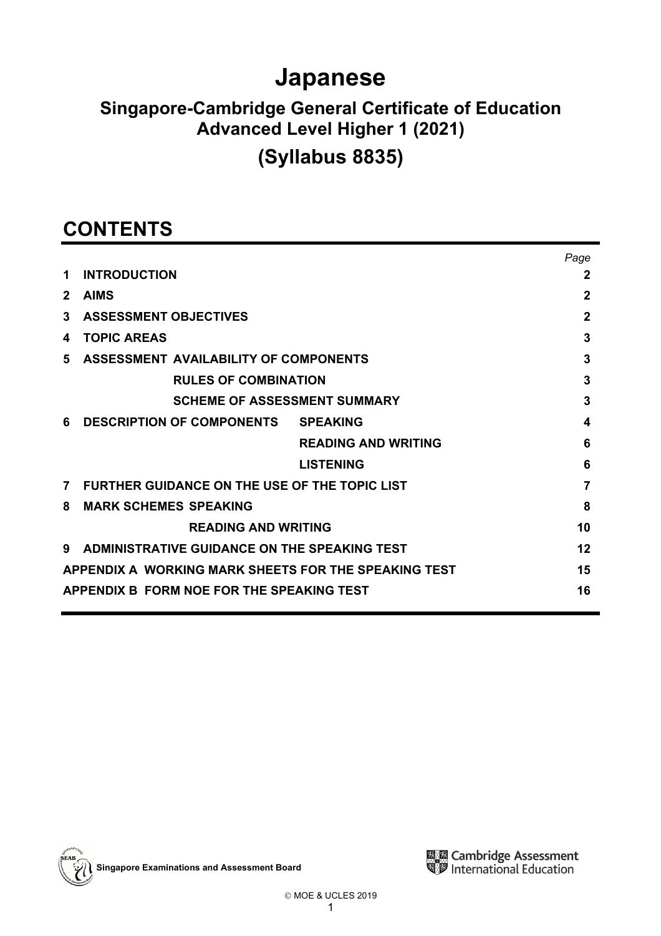# **Japanese**

# **Singapore-Cambridge General Certificate of Education Advanced Level Higher 1 (2021)**

# **(Syllabus 8835)**

# **CONTENTS**

|                |                                                            | Page         |  |  |  |  |  |
|----------------|------------------------------------------------------------|--------------|--|--|--|--|--|
| 1              | <b>INTRODUCTION</b>                                        | 2            |  |  |  |  |  |
| $\mathbf{2}$   | $\mathbf 2$                                                |              |  |  |  |  |  |
| 3              | <b>ASSESSMENT OBJECTIVES</b>                               | $\mathbf{2}$ |  |  |  |  |  |
| 4              | <b>TOPIC AREAS</b>                                         | 3            |  |  |  |  |  |
| 5              | 3                                                          |              |  |  |  |  |  |
|                | <b>RULES OF COMBINATION</b>                                | 3            |  |  |  |  |  |
|                | <b>SCHEME OF ASSESSMENT SUMMARY</b>                        | 3            |  |  |  |  |  |
| 6              | <b>DESCRIPTION OF COMPONENTS SPEAKING</b>                  | 4            |  |  |  |  |  |
|                | <b>READING AND WRITING</b>                                 | 6            |  |  |  |  |  |
|                | <b>LISTENING</b>                                           | 6            |  |  |  |  |  |
| $\overline{7}$ | FURTHER GUIDANCE ON THE USE OF THE TOPIC LIST              |              |  |  |  |  |  |
| 8              | <b>MARK SCHEMES SPEAKING</b>                               | 8            |  |  |  |  |  |
|                | <b>READING AND WRITING</b>                                 | 10           |  |  |  |  |  |
| 9              | ADMINISTRATIVE GUIDANCE ON THE SPEAKING TEST<br>12         |              |  |  |  |  |  |
|                | APPENDIX A WORKING MARK SHEETS FOR THE SPEAKING TEST<br>15 |              |  |  |  |  |  |
|                | APPENDIX B FORM NOE FOR THE SPEAKING TEST                  | 16           |  |  |  |  |  |
|                |                                                            |              |  |  |  |  |  |

**Singapore Examinations and Assessment Board** 

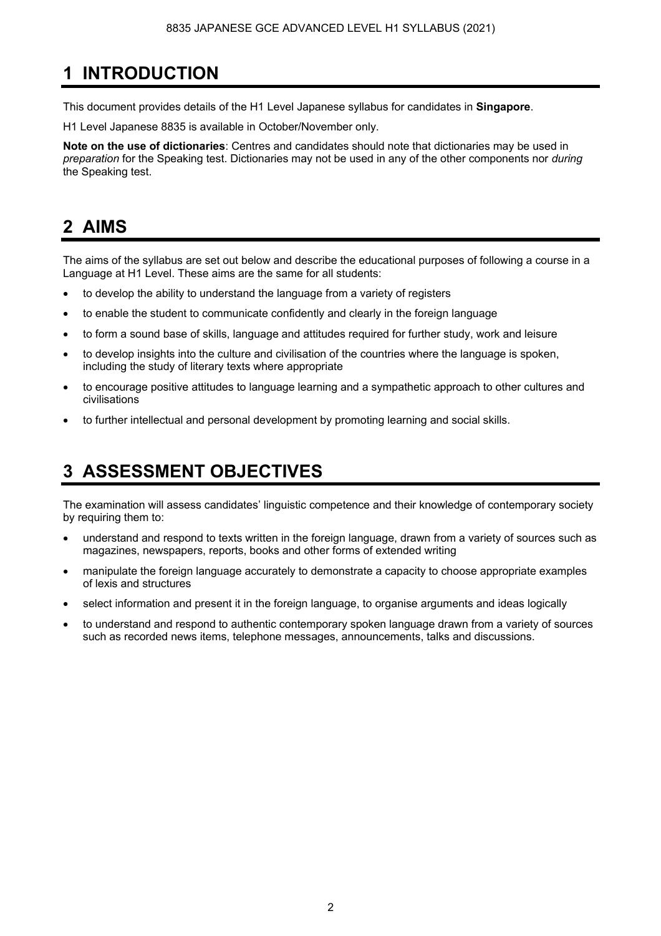## **1 INTRODUCTION**

This document provides details of the H1 Level Japanese syllabus for candidates in **Singapore**.

H1 Level Japanese 8835 is available in October/November only.

**Note on the use of dictionaries**: Centres and candidates should note that dictionaries may be used in *preparation* for the Speaking test. Dictionaries may not be used in any of the other components nor *during* the Speaking test.

### **2 AIMS**

The aims of the syllabus are set out below and describe the educational purposes of following a course in a Language at H1 Level. These aims are the same for all students:

- to develop the ability to understand the language from a variety of registers
- to enable the student to communicate confidently and clearly in the foreign language
- to form a sound base of skills, language and attitudes required for further study, work and leisure
- to develop insights into the culture and civilisation of the countries where the language is spoken, including the study of literary texts where appropriate
- to encourage positive attitudes to language learning and a sympathetic approach to other cultures and civilisations
- to further intellectual and personal development by promoting learning and social skills.

## **3 ASSESSMENT OBJECTIVES**

The examination will assess candidates' linguistic competence and their knowledge of contemporary society by requiring them to:

- understand and respond to texts written in the foreign language, drawn from a variety of sources such as magazines, newspapers, reports, books and other forms of extended writing
- manipulate the foreign language accurately to demonstrate a capacity to choose appropriate examples of lexis and structures
- select information and present it in the foreign language, to organise arguments and ideas logically
- to understand and respond to authentic contemporary spoken language drawn from a variety of sources such as recorded news items, telephone messages, announcements, talks and discussions.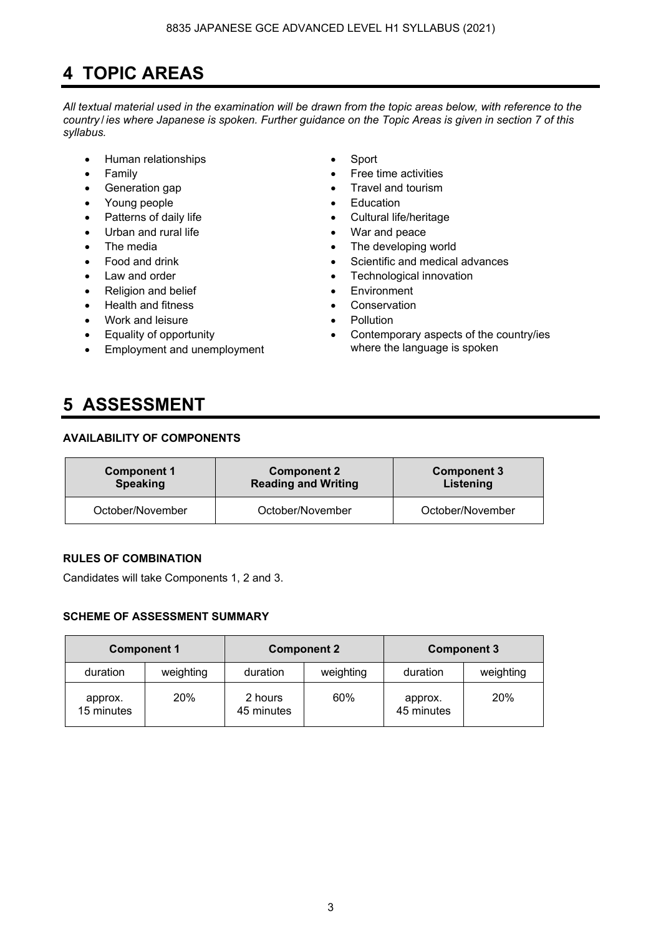## **4 TOPIC AREAS**

*All textual material used in the examination will be drawn from the topic areas below, with reference to the country* / *ies where Japanese is spoken. Further guidance on the Topic Areas is given in section 7 of this syllabus.* 

- Human relationships Sport
- 
- 
- Young people Education
- 
- Urban and rural life **•** War and peace
- 
- 
- 
- **Religion and belief Environment**
- Health and fitness Conservation
- **Work and leisure Pollution**
- Equality of opportunity
- Employment and unemployment
- 
- Family **•** Free time activities
- Generation gap **•** Travel and tourism
	-
	- Patterns of daily life **•** Cultural life/heritage
		-
	- The media **Figure 1** The developing world
	- Food and drink **•** Scientific and medical advances
- Law and order **•** Technological innovation
	-
	-
	-
	- Contemporary aspects of the country/ies where the language is spoken

### **5 ASSESSMENT**

#### **AVAILABILITY OF COMPONENTS**

| <b>Component 1</b> | <b>Component 2</b>         | <b>Component 3</b> |  |  |  |  |
|--------------------|----------------------------|--------------------|--|--|--|--|
| <b>Speaking</b>    | <b>Reading and Writing</b> | Listening          |  |  |  |  |
| October/November   | October/November           | October/November   |  |  |  |  |

#### **RULES OF COMBINATION**

Candidates will take Components 1, 2 and 3.

#### **SCHEME OF ASSESSMENT SUMMARY**

|                       | <b>Component 1</b> |                       | <b>Component 2</b> | <b>Component 3</b>    |           |  |  |  |
|-----------------------|--------------------|-----------------------|--------------------|-----------------------|-----------|--|--|--|
| duration              | weighting          | duration              | weighting          | duration              | weighting |  |  |  |
| approx.<br>15 minutes | 20%                | 2 hours<br>45 minutes | 60%                | approx.<br>45 minutes | 20%       |  |  |  |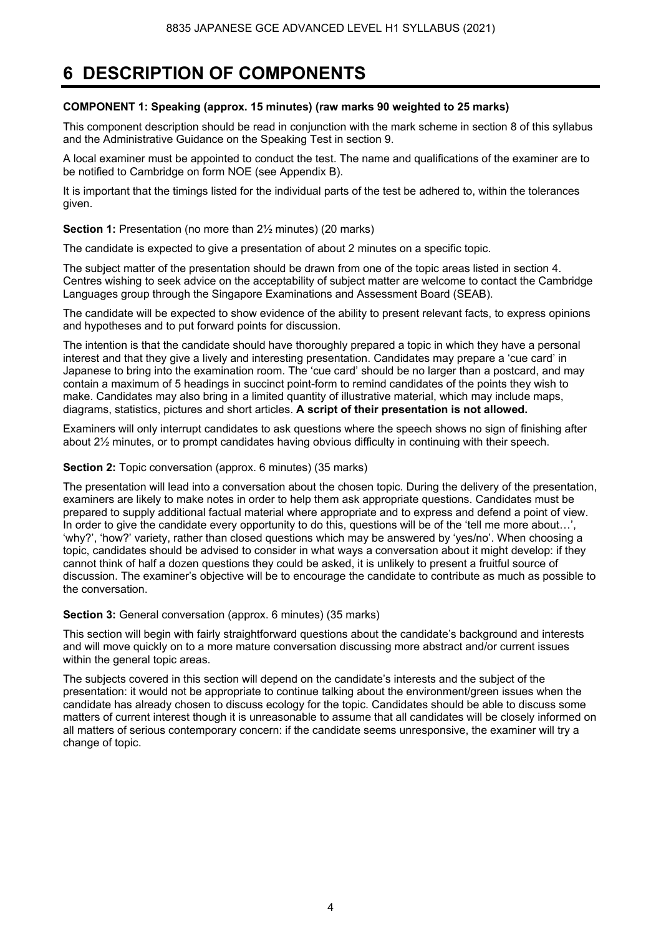### **6 DESCRIPTION OF COMPONENTS**

#### **COMPONENT 1: Speaking (approx. 15 minutes) (raw marks 90 weighted to 25 marks)**

This component description should be read in conjunction with the mark scheme in section 8 of this syllabus and the Administrative Guidance on the Speaking Test in section 9.

A local examiner must be appointed to conduct the test. The name and qualifications of the examiner are to be notified to Cambridge on form NOE (see Appendix B).

It is important that the timings listed for the individual parts of the test be adhered to, within the tolerances given.

**Section 1:** Presentation (no more than 2<sup>1</sup>/<sub>2</sub> minutes) (20 marks)

The candidate is expected to give a presentation of about 2 minutes on a specific topic.

The subject matter of the presentation should be drawn from one of the topic areas listed in section 4. Centres wishing to seek advice on the acceptability of subject matter are welcome to contact the Cambridge Languages group through the Singapore Examinations and Assessment Board (SEAB).

The candidate will be expected to show evidence of the ability to present relevant facts, to express opinions and hypotheses and to put forward points for discussion.

The intention is that the candidate should have thoroughly prepared a topic in which they have a personal interest and that they give a lively and interesting presentation. Candidates may prepare a 'cue card' in Japanese to bring into the examination room. The 'cue card' should be no larger than a postcard, and may contain a maximum of 5 headings in succinct point-form to remind candidates of the points they wish to make. Candidates may also bring in a limited quantity of illustrative material, which may include maps, diagrams, statistics, pictures and short articles. **A script of their presentation is not allowed.**

Examiners will only interrupt candidates to ask questions where the speech shows no sign of finishing after about 2½ minutes, or to prompt candidates having obvious difficulty in continuing with their speech.

#### **Section 2:** Topic conversation (approx. 6 minutes) (35 marks)

The presentation will lead into a conversation about the chosen topic. During the delivery of the presentation, examiners are likely to make notes in order to help them ask appropriate questions. Candidates must be prepared to supply additional factual material where appropriate and to express and defend a point of view. In order to give the candidate every opportunity to do this, questions will be of the 'tell me more about...', 'why?', 'how?' variety, rather than closed questions which may be answered by 'yes/no'. When choosing a topic, candidates should be advised to consider in what ways a conversation about it might develop: if they cannot think of half a dozen questions they could be asked, it is unlikely to present a fruitful source of discussion. The examiner's objective will be to encourage the candidate to contribute as much as possible to the conversation.

#### **Section 3:** General conversation (approx. 6 minutes) (35 marks)

This section will begin with fairly straightforward questions about the candidate's background and interests and will move quickly on to a more mature conversation discussing more abstract and/or current issues within the general topic areas.

The subjects covered in this section will depend on the candidate's interests and the subject of the presentation: it would not be appropriate to continue talking about the environment/green issues when the candidate has already chosen to discuss ecology for the topic. Candidates should be able to discuss some matters of current interest though it is unreasonable to assume that all candidates will be closely informed on all matters of serious contemporary concern: if the candidate seems unresponsive, the examiner will try a change of topic.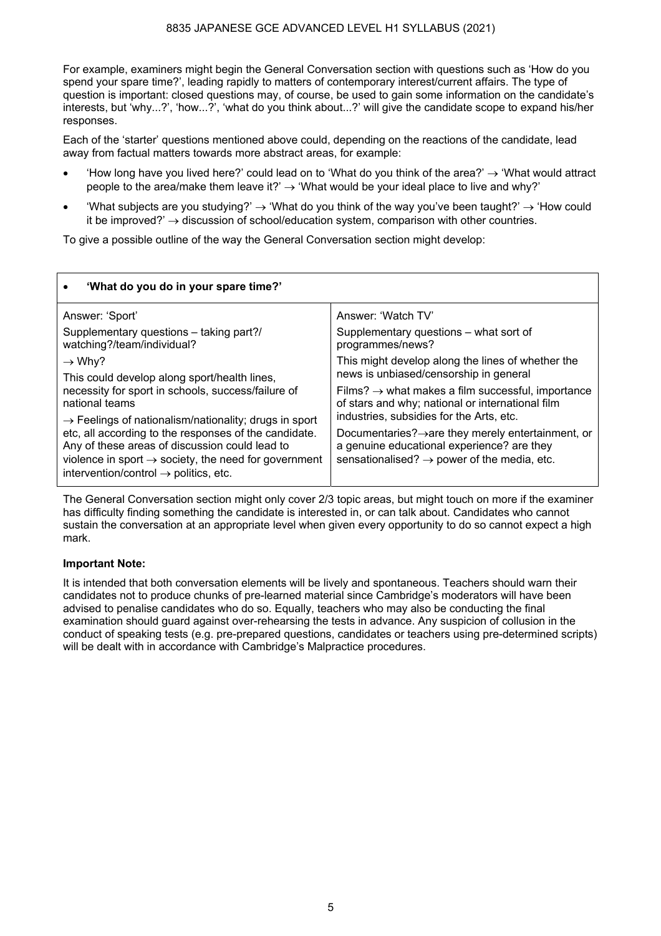For example, examiners might begin the General Conversation section with questions such as 'How do you spend your spare time?', leading rapidly to matters of contemporary interest/current affairs. The type of question is important: closed questions may, of course, be used to gain some information on the candidate's interests, but 'why...?', 'how...?', 'what do you think about...?' will give the candidate scope to expand his/her responses.

Each of the 'starter' questions mentioned above could, depending on the reactions of the candidate, lead away from factual matters towards more abstract areas, for example:

- How long have you lived here?' could lead on to 'What do you think of the area?'  $\rightarrow$  'What would attract people to the area/make them leave it?'  $\rightarrow$  'What would be your ideal place to live and why?'
- 'What subjects are you studying?'  $\rightarrow$  'What do you think of the way you've been taught?'  $\rightarrow$  'How could it be improved?'  $\rightarrow$  discussion of school/education system, comparison with other countries.

To give a possible outline of the way the General Conversation section might develop:

| 'What do you do in your spare time?'                                                                                                                                                                                             |                                                                                                                                                                         |  |  |  |  |
|----------------------------------------------------------------------------------------------------------------------------------------------------------------------------------------------------------------------------------|-------------------------------------------------------------------------------------------------------------------------------------------------------------------------|--|--|--|--|
| Answer: 'Sport'                                                                                                                                                                                                                  | Answer: 'Watch TV'                                                                                                                                                      |  |  |  |  |
| Supplementary questions - taking part?/<br>watching?/team/individual?                                                                                                                                                            | Supplementary questions - what sort of<br>programmes/news?                                                                                                              |  |  |  |  |
| $\rightarrow$ Why?                                                                                                                                                                                                               | This might develop along the lines of whether the                                                                                                                       |  |  |  |  |
| This could develop along sport/health lines,                                                                                                                                                                                     | news is unbiased/censorship in general                                                                                                                                  |  |  |  |  |
| necessity for sport in schools, success/failure of<br>national teams                                                                                                                                                             | Films? $\rightarrow$ what makes a film successful, importance<br>of stars and why; national or international film                                                       |  |  |  |  |
| $\rightarrow$ Feelings of nationalism/nationality; drugs in sport                                                                                                                                                                | industries, subsidies for the Arts, etc.                                                                                                                                |  |  |  |  |
| etc, all according to the responses of the candidate.<br>Any of these areas of discussion could lead to<br>violence in sport $\rightarrow$ society, the need for government<br>intervention/control $\rightarrow$ politics, etc. | Documentaries? $\rightarrow$ are they merely entertainment, or<br>a genuine educational experience? are they<br>sensationalised? $\rightarrow$ power of the media, etc. |  |  |  |  |

The General Conversation section might only cover 2/3 topic areas, but might touch on more if the examiner has difficulty finding something the candidate is interested in, or can talk about. Candidates who cannot sustain the conversation at an appropriate level when given every opportunity to do so cannot expect a high mark.

#### **Important Note:**

It is intended that both conversation elements will be lively and spontaneous. Teachers should warn their candidates not to produce chunks of pre-learned material since Cambridge's moderators will have been advised to penalise candidates who do so. Equally, teachers who may also be conducting the final examination should guard against over-rehearsing the tests in advance. Any suspicion of collusion in the conduct of speaking tests (e.g. pre-prepared questions, candidates or teachers using pre-determined scripts) will be dealt with in accordance with Cambridge's Malpractice procedures.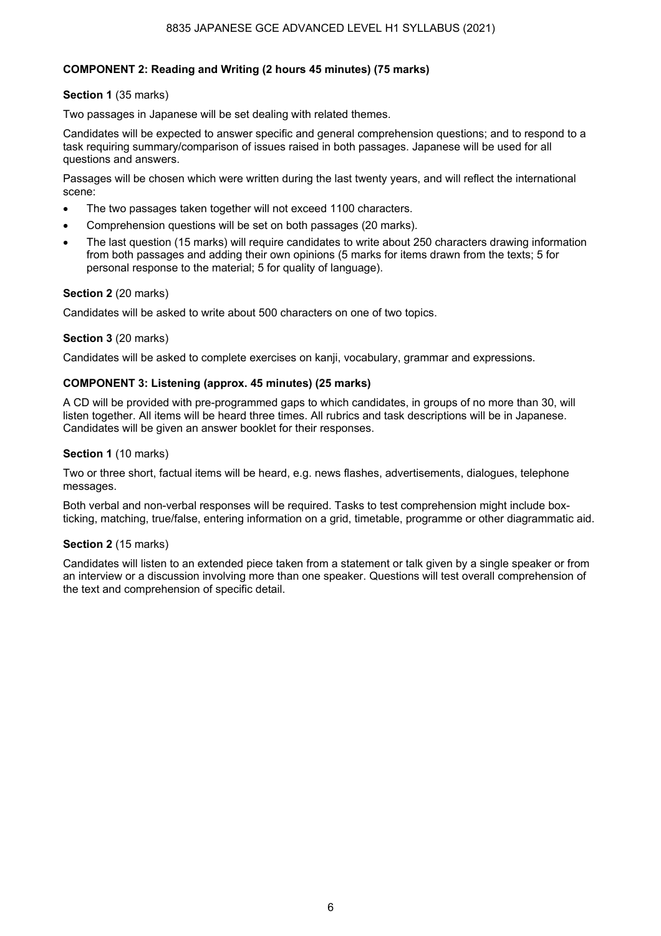#### **COMPONENT 2: Reading and Writing (2 hours 45 minutes) (75 marks)**

#### **Section 1** (35 marks)

Two passages in Japanese will be set dealing with related themes.

Candidates will be expected to answer specific and general comprehension questions; and to respond to a task requiring summary/comparison of issues raised in both passages. Japanese will be used for all questions and answers.

Passages will be chosen which were written during the last twenty years, and will reflect the international scene:

- The two passages taken together will not exceed 1100 characters.
- Comprehension questions will be set on both passages (20 marks).
- The last question (15 marks) will require candidates to write about 250 characters drawing information from both passages and adding their own opinions (5 marks for items drawn from the texts; 5 for personal response to the material; 5 for quality of language).

#### **Section 2** (20 marks)

Candidates will be asked to write about 500 characters on one of two topics.

#### **Section 3** (20 marks)

Candidates will be asked to complete exercises on kanji, vocabulary, grammar and expressions.

#### **COMPONENT 3: Listening (approx. 45 minutes) (25 marks)**

A CD will be provided with pre-programmed gaps to which candidates, in groups of no more than 30, will listen together. All items will be heard three times. All rubrics and task descriptions will be in Japanese. Candidates will be given an answer booklet for their responses.

#### **Section 1** (10 marks)

Two or three short, factual items will be heard, e.g. news flashes, advertisements, dialogues, telephone messages.

Both verbal and non-verbal responses will be required. Tasks to test comprehension might include boxticking, matching, true/false, entering information on a grid, timetable, programme or other diagrammatic aid.

#### **Section 2** (15 marks)

Candidates will listen to an extended piece taken from a statement or talk given by a single speaker or from an interview or a discussion involving more than one speaker. Questions will test overall comprehension of the text and comprehension of specific detail.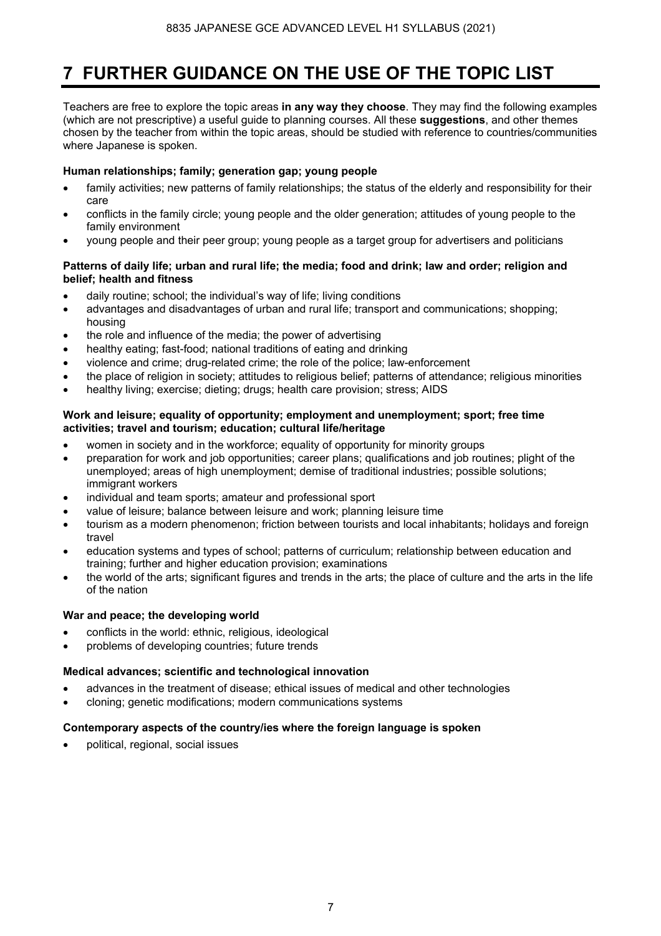### **7 FURTHER GUIDANCE ON THE USE OF THE TOPIC LIST**

Teachers are free to explore the topic areas **in any way they choose**. They may find the following examples (which are not prescriptive) a useful guide to planning courses. All these **suggestions**, and other themes chosen by the teacher from within the topic areas, should be studied with reference to countries/communities where Japanese is spoken.

#### **Human relationships; family; generation gap; young people**

- family activities; new patterns of family relationships; the status of the elderly and responsibility for their care
- conflicts in the family circle; young people and the older generation; attitudes of young people to the family environment
- young people and their peer group; young people as a target group for advertisers and politicians

#### **Patterns of daily life; urban and rural life; the media; food and drink; law and order; religion and belief; health and fitness**

- daily routine; school; the individual's way of life; living conditions
- advantages and disadvantages of urban and rural life; transport and communications; shopping; housing
- the role and influence of the media; the power of advertising
- healthy eating; fast-food; national traditions of eating and drinking
- violence and crime; drug-related crime; the role of the police; law-enforcement
- the place of religion in society; attitudes to religious belief; patterns of attendance; religious minorities
- healthy living; exercise; dieting; drugs; health care provision; stress; AIDS

#### **Work and leisure; equality of opportunity; employment and unemployment; sport; free time activities; travel and tourism; education; cultural life/heritage**

- women in society and in the workforce; equality of opportunity for minority groups
- preparation for work and job opportunities; career plans; qualifications and job routines; plight of the unemployed; areas of high unemployment; demise of traditional industries; possible solutions; immigrant workers
- individual and team sports; amateur and professional sport
- value of leisure; balance between leisure and work; planning leisure time
- tourism as a modern phenomenon; friction between tourists and local inhabitants; holidays and foreign travel
- education systems and types of school; patterns of curriculum; relationship between education and training; further and higher education provision; examinations
- the world of the arts; significant figures and trends in the arts; the place of culture and the arts in the life of the nation

#### **War and peace; the developing world**

- conflicts in the world: ethnic, religious, ideological
- problems of developing countries; future trends

#### **Medical advances; scientific and technological innovation**

- advances in the treatment of disease; ethical issues of medical and other technologies
- cloning; genetic modifications; modern communications systems

#### **Contemporary aspects of the country/ies where the foreign language is spoken**

• political, regional, social issues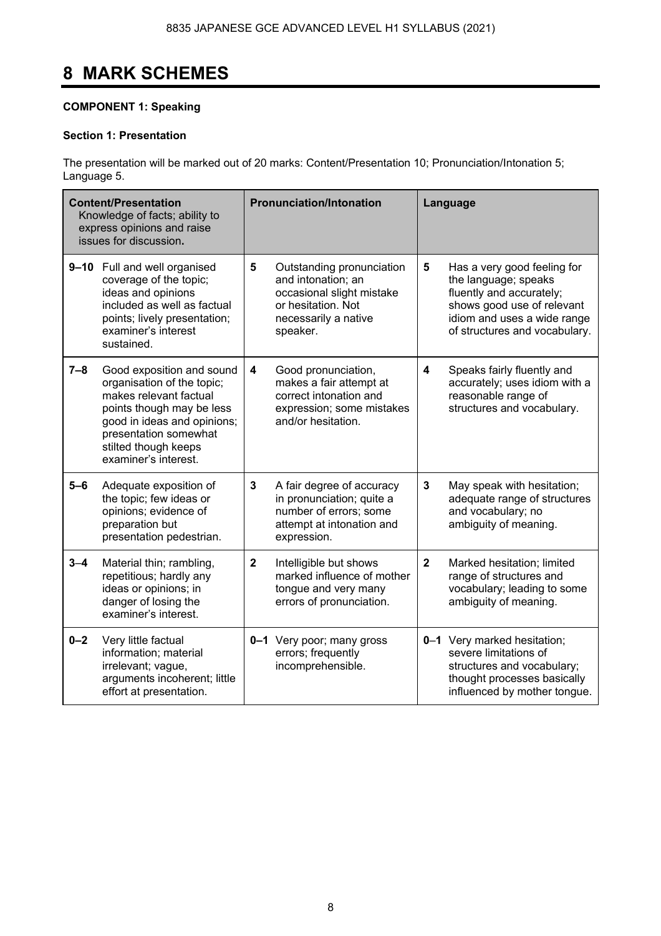# **8 MARK SCHEMES**

#### **COMPONENT 1: Speaking**

#### **Section 1: Presentation**

The presentation will be marked out of 20 marks: Content/Presentation 10; Pronunciation/Intonation 5; Language 5.

|         | <b>Content/Presentation</b><br>Knowledge of facts; ability to<br>express opinions and raise<br>issues for discussion.                                                                                                  |                                                                                                                          | <b>Pronunciation/Intonation</b>                                                                                                             | Language                |                                                                                                                                                                               |  |  |  |  |
|---------|------------------------------------------------------------------------------------------------------------------------------------------------------------------------------------------------------------------------|--------------------------------------------------------------------------------------------------------------------------|---------------------------------------------------------------------------------------------------------------------------------------------|-------------------------|-------------------------------------------------------------------------------------------------------------------------------------------------------------------------------|--|--|--|--|
|         | 9-10 Full and well organised<br>coverage of the topic;<br>ideas and opinions<br>included as well as factual<br>points; lively presentation;<br>examiner's interest<br>sustained.                                       | 5                                                                                                                        | 5<br>Outstanding pronunciation<br>and intonation; an<br>occasional slight mistake<br>or hesitation. Not<br>necessarily a native<br>speaker. |                         | Has a very good feeling for<br>the language; speaks<br>fluently and accurately;<br>shows good use of relevant<br>idiom and uses a wide range<br>of structures and vocabulary. |  |  |  |  |
| $7 - 8$ | Good exposition and sound<br>organisation of the topic;<br>makes relevant factual<br>points though may be less<br>good in ideas and opinions;<br>presentation somewhat<br>stilted though keeps<br>examiner's interest. | $\overline{\mathbf{4}}$                                                                                                  | Good pronunciation,<br>makes a fair attempt at<br>correct intonation and<br>expression; some mistakes<br>and/or hesitation.                 | 4                       | Speaks fairly fluently and<br>accurately; uses idiom with a<br>reasonable range of<br>structures and vocabulary.                                                              |  |  |  |  |
| $5 - 6$ | Adequate exposition of<br>the topic; few ideas or<br>opinions; evidence of<br>preparation but<br>presentation pedestrian.                                                                                              | 3                                                                                                                        | A fair degree of accuracy<br>in pronunciation; quite a<br>number of errors; some<br>attempt at intonation and<br>expression.                | 3                       | May speak with hesitation;<br>adequate range of structures<br>and vocabulary; no<br>ambiguity of meaning.                                                                     |  |  |  |  |
| $3 - 4$ | Material thin; rambling,<br>repetitious; hardly any<br>ideas or opinions; in<br>danger of losing the<br>examiner's interest.                                                                                           | $\mathbf{2}$<br>Intelligible but shows<br>marked influence of mother<br>tongue and very many<br>errors of pronunciation. |                                                                                                                                             | $\overline{\mathbf{2}}$ | Marked hesitation; limited<br>range of structures and<br>vocabulary; leading to some<br>ambiguity of meaning.                                                                 |  |  |  |  |
| $0 - 2$ | Very little factual<br>information; material<br>irrelevant; vague,<br>arguments incoherent; little<br>effort at presentation.                                                                                          |                                                                                                                          | 0-1 Very poor; many gross<br>errors; frequently<br>incomprehensible.                                                                        |                         | 0-1 Very marked hesitation;<br>severe limitations of<br>structures and vocabulary;<br>thought processes basically<br>influenced by mother tongue.                             |  |  |  |  |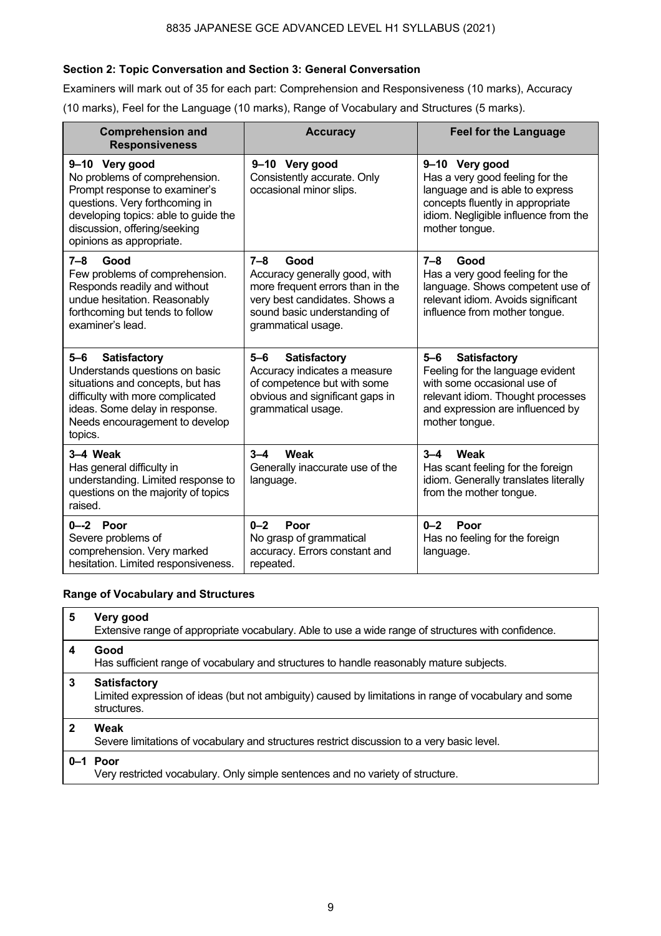#### **Section 2: Topic Conversation and Section 3: General Conversation**

Examiners will mark out of 35 for each part: Comprehension and Responsiveness (10 marks), Accuracy (10 marks), Feel for the Language (10 marks), Range of Vocabulary and Structures (5 marks).

| <b>Comprehension and</b><br><b>Responsiveness</b>                                                                                                                                                                      | <b>Accuracy</b>                                                                                                                                                             | <b>Feel for the Language</b>                                                                                                                                                               |  |  |  |  |  |
|------------------------------------------------------------------------------------------------------------------------------------------------------------------------------------------------------------------------|-----------------------------------------------------------------------------------------------------------------------------------------------------------------------------|--------------------------------------------------------------------------------------------------------------------------------------------------------------------------------------------|--|--|--|--|--|
| 9-10 Very good<br>No problems of comprehension.<br>Prompt response to examiner's<br>questions. Very forthcoming in<br>developing topics: able to guide the<br>discussion, offering/seeking<br>opinions as appropriate. | 9-10 Very good<br>Consistently accurate. Only<br>occasional minor slips.                                                                                                    | 9-10 Very good<br>Has a very good feeling for the<br>language and is able to express<br>concepts fluently in appropriate<br>idiom. Negligible influence from the<br>mother tongue.         |  |  |  |  |  |
| $7 - 8$<br>Good<br>Few problems of comprehension.<br>Responds readily and without<br>undue hesitation. Reasonably<br>forthcoming but tends to follow<br>examiner's lead.                                               | $7 - 8$<br>Good<br>Accuracy generally good, with<br>more frequent errors than in the<br>very best candidates. Shows a<br>sound basic understanding of<br>grammatical usage. | $7 - 8$<br>Good<br>Has a very good feeling for the<br>language. Shows competent use of<br>relevant idiom. Avoids significant<br>influence from mother tongue.                              |  |  |  |  |  |
| $5-6$<br><b>Satisfactory</b><br>Understands questions on basic<br>situations and concepts, but has<br>difficulty with more complicated<br>ideas. Some delay in response.<br>Needs encouragement to develop<br>topics.  | $5-6$<br><b>Satisfactory</b><br>Accuracy indicates a measure<br>of competence but with some<br>obvious and significant gaps in<br>grammatical usage.                        | $5-6$<br><b>Satisfactory</b><br>Feeling for the language evident<br>with some occasional use of<br>relevant idiom. Thought processes<br>and expression are influenced by<br>mother tongue. |  |  |  |  |  |
| 3-4 Weak<br>Has general difficulty in<br>understanding. Limited response to<br>questions on the majority of topics<br>raised.                                                                                          | $3 - 4$<br>Weak<br>Generally inaccurate use of the<br>language.                                                                                                             | $3 - 4$<br>Weak<br>Has scant feeling for the foreign<br>idiom. Generally translates literally<br>from the mother tongue.                                                                   |  |  |  |  |  |
| $0 - -2$ Poor<br>Severe problems of<br>comprehension. Very marked<br>hesitation. Limited responsiveness.                                                                                                               | $0 - 2$<br>Poor<br>No grasp of grammatical<br>accuracy. Errors constant and<br>repeated.                                                                                    | $0 - 2$<br>Poor<br>Has no feeling for the foreign<br>language.                                                                                                                             |  |  |  |  |  |

#### **Range of Vocabulary and Structures**

| 5           | Very good<br>Extensive range of appropriate vocabulary. Able to use a wide range of structures with confidence.                             |
|-------------|---------------------------------------------------------------------------------------------------------------------------------------------|
| 4           | Good<br>Has sufficient range of vocabulary and structures to handle reasonably mature subjects.                                             |
| 3           | <b>Satisfactory</b><br>Limited expression of ideas (but not ambiguity) caused by limitations in range of vocabulary and some<br>structures. |
| $\mathbf 2$ | Weak<br>Severe limitations of vocabulary and structures restrict discussion to a very basic level.                                          |
|             | $0-1$ Poor<br>Very restricted vocabulary. Only simple sentences and no variety of structure.                                                |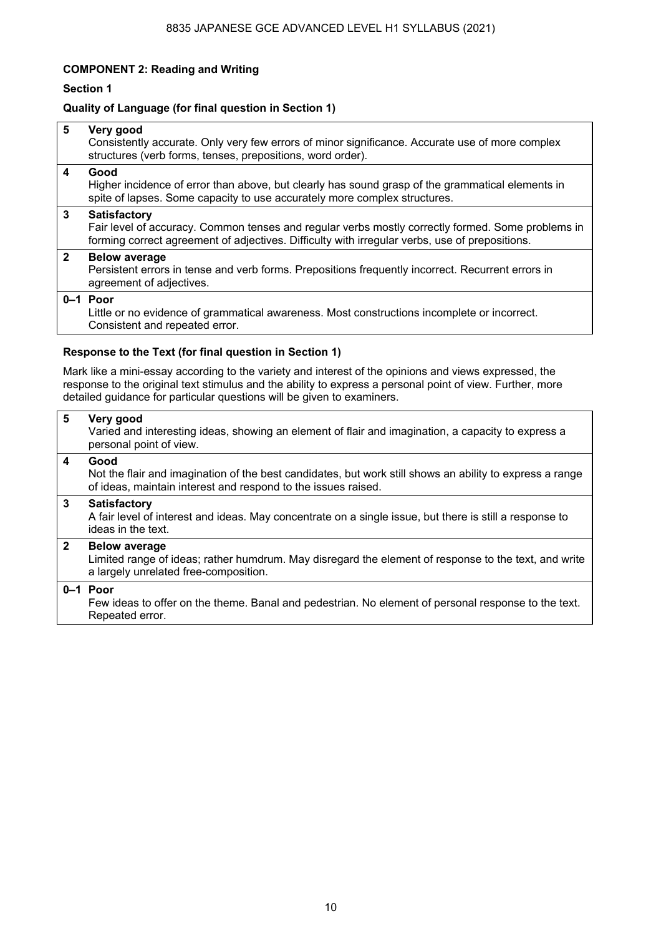#### **COMPONENT 2: Reading and Writing**

#### **Section 1**

#### **Quality of Language (for final question in Section 1)**

| $5\phantom{1}$          | Very good<br>Consistently accurate. Only very few errors of minor significance. Accurate use of more complex<br>structures (verb forms, tenses, prepositions, word order).                                                 |  |  |  |  |  |  |  |  |
|-------------------------|----------------------------------------------------------------------------------------------------------------------------------------------------------------------------------------------------------------------------|--|--|--|--|--|--|--|--|
| $\overline{\mathbf{4}}$ | Good<br>Higher incidence of error than above, but clearly has sound grasp of the grammatical elements in<br>spite of lapses. Some capacity to use accurately more complex structures.                                      |  |  |  |  |  |  |  |  |
| $\mathbf{3}$            | <b>Satisfactory</b><br>Fair level of accuracy. Common tenses and regular verbs mostly correctly formed. Some problems in<br>forming correct agreement of adjectives. Difficulty with irregular verbs, use of prepositions. |  |  |  |  |  |  |  |  |
| $\overline{2}$          | <b>Below average</b><br>Persistent errors in tense and verb forms. Prepositions frequently incorrect. Recurrent errors in<br>agreement of adjectives.                                                                      |  |  |  |  |  |  |  |  |
|                         | $0-1$ Poor<br>Little or no evidence of grammatical awareness. Most constructions incomplete or incorrect.<br>Consistent and repeated error.                                                                                |  |  |  |  |  |  |  |  |
|                         | Response to the Text (for final question in Section 1)                                                                                                                                                                     |  |  |  |  |  |  |  |  |
|                         | Mark like a mini-essay according to the variety and interest of the opinions and views expressed, the                                                                                                                      |  |  |  |  |  |  |  |  |

response to the original text stimulus and the ability to express a personal point of view. Further, more detailed guidance for particular questions will be given to examiners.

#### **5 Very good**  Varied and interesting ideas, showing an element of flair and imagination, a capacity to express a personal point of view. **4 Good**  Not the flair and imagination of the best candidates, but work still shows an ability to express a range of ideas, maintain interest and respond to the issues raised. **3 Satisfactory**  A fair level of interest and ideas. May concentrate on a single issue, but there is still a response to ideas in the text. **2 Below average**  Limited range of ideas; rather humdrum. May disregard the element of response to the text, and write a largely unrelated free-composition. **0–1 Poor**  Few ideas to offer on the theme. Banal and pedestrian. No element of personal response to the text. Repeated error.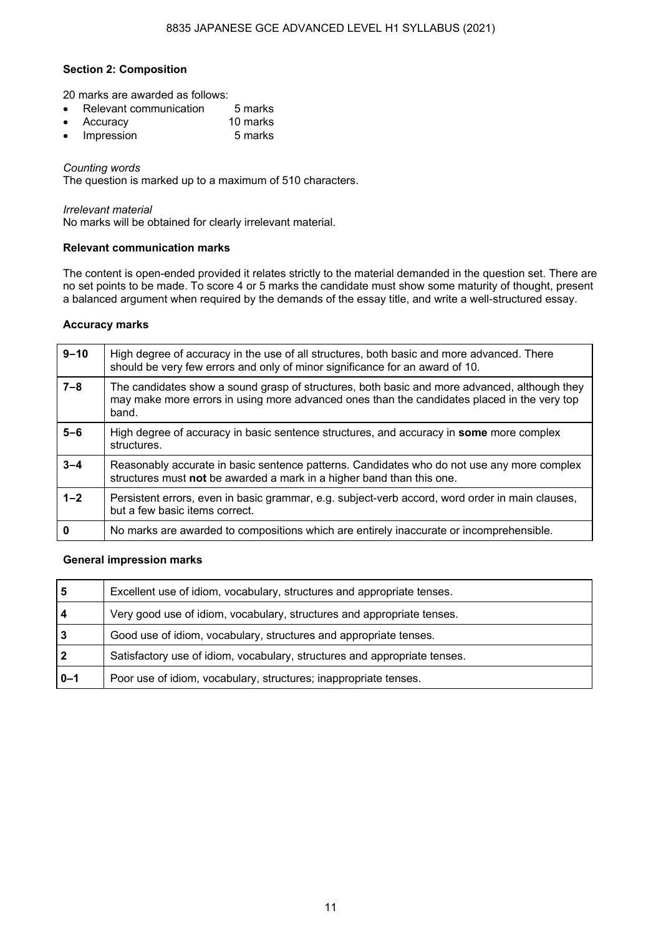#### **Section 2: Composition**

20 marks are awarded as follows:

- Relevant communication 5 marks
- Accuracy 10 marks
- Impression 5 marks

#### *Counting words*

The question is marked up to a maximum of 510 characters.

#### *Irrelevant material*

No marks will be obtained for clearly irrelevant material.

#### **Relevant communication marks**

The content is open-ended provided it relates strictly to the material demanded in the question set. There are no set points to be made. To score 4 or 5 marks the candidate must show some maturity of thought, present a balanced argument when required by the demands of the essay title, and write a well-structured essay.

#### **Accuracy marks**

| $9 - 10$ | High degree of accuracy in the use of all structures, both basic and more advanced. There<br>should be very few errors and only of minor significance for an award of 10.                            |
|----------|------------------------------------------------------------------------------------------------------------------------------------------------------------------------------------------------------|
| $7 - 8$  | The candidates show a sound grasp of structures, both basic and more advanced, although they<br>may make more errors in using more advanced ones than the candidates placed in the very top<br>band. |
| $5-6$    | High degree of accuracy in basic sentence structures, and accuracy in some more complex<br>structures.                                                                                               |
| $3 - 4$  | Reasonably accurate in basic sentence patterns. Candidates who do not use any more complex<br>structures must not be awarded a mark in a higher band than this one.                                  |
| $1 - 2$  | Persistent errors, even in basic grammar, e.g. subject-verb accord, word order in main clauses,<br>but a few basic items correct.                                                                    |
| 0        | No marks are awarded to compositions which are entirely inaccurate or incomprehensible.                                                                                                              |

#### **General impression marks**

| 5           | Excellent use of idiom, vocabulary, structures and appropriate tenses.    |
|-------------|---------------------------------------------------------------------------|
| 4           | Very good use of idiom, vocabulary, structures and appropriate tenses.    |
| 3           | Good use of idiom, vocabulary, structures and appropriate tenses.         |
| $\mathbf 2$ | Satisfactory use of idiom, vocabulary, structures and appropriate tenses. |
| $0 - 1$     | Poor use of idiom, vocabulary, structures; inappropriate tenses.          |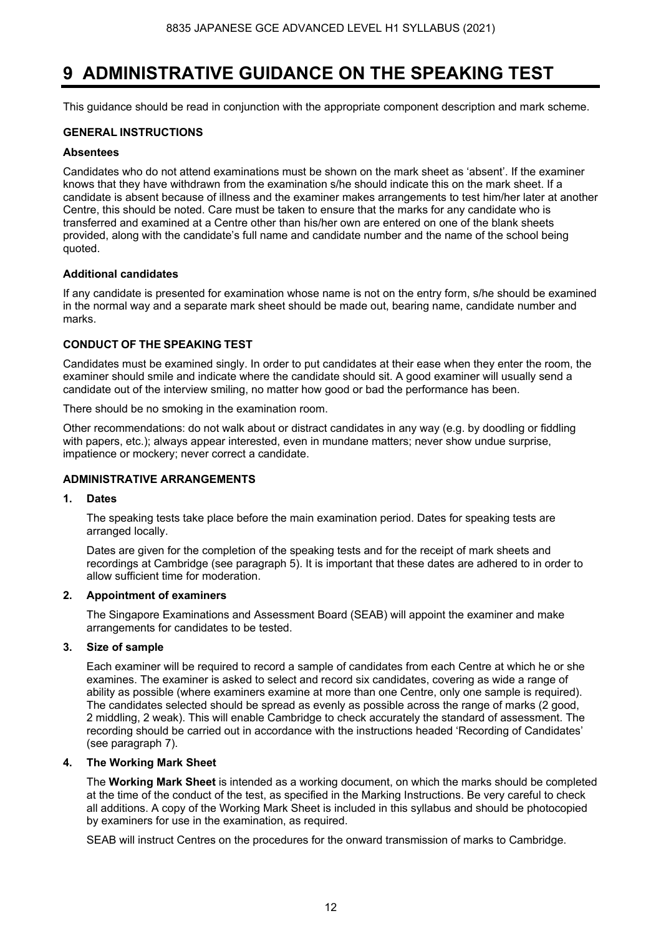### **9 ADMINISTRATIVE GUIDANCE ON THE SPEAKING TEST**

This guidance should be read in conjunction with the appropriate component description and mark scheme.

#### **GENERAL INSTRUCTIONS**

#### **Absentees**

Candidates who do not attend examinations must be shown on the mark sheet as 'absent'. If the examiner knows that they have withdrawn from the examination s/he should indicate this on the mark sheet. If a candidate is absent because of illness and the examiner makes arrangements to test him/her later at another Centre, this should be noted. Care must be taken to ensure that the marks for any candidate who is transferred and examined at a Centre other than his/her own are entered on one of the blank sheets provided, along with the candidate's full name and candidate number and the name of the school being quoted.

#### **Additional candidates**

If any candidate is presented for examination whose name is not on the entry form, s/he should be examined in the normal way and a separate mark sheet should be made out, bearing name, candidate number and marks.

#### **CONDUCT OF THE SPEAKING TEST**

Candidates must be examined singly. In order to put candidates at their ease when they enter the room, the examiner should smile and indicate where the candidate should sit. A good examiner will usually send a candidate out of the interview smiling, no matter how good or bad the performance has been.

There should be no smoking in the examination room.

Other recommendations: do not walk about or distract candidates in any way (e.g. by doodling or fiddling with papers, etc.); always appear interested, even in mundane matters; never show undue surprise, impatience or mockery; never correct a candidate.

#### **ADMINISTRATIVE ARRANGEMENTS**

#### **1. Dates**

 The speaking tests take place before the main examination period. Dates for speaking tests are arranged locally.

 Dates are given for the completion of the speaking tests and for the receipt of mark sheets and recordings at Cambridge (see paragraph 5). It is important that these dates are adhered to in order to allow sufficient time for moderation.

#### **2. Appointment of examiners**

The Singapore Examinations and Assessment Board (SEAB) will appoint the examiner and make arrangements for candidates to be tested.

#### **3. Size of sample**

 Each examiner will be required to record a sample of candidates from each Centre at which he or she examines. The examiner is asked to select and record six candidates, covering as wide a range of ability as possible (where examiners examine at more than one Centre, only one sample is required). The candidates selected should be spread as evenly as possible across the range of marks (2 good, 2 middling, 2 weak). This will enable Cambridge to check accurately the standard of assessment. The recording should be carried out in accordance with the instructions headed 'Recording of Candidates' (see paragraph 7).

#### **4. The Working Mark Sheet**

The **Working Mark Sheet** is intended as a working document, on which the marks should be completed at the time of the conduct of the test, as specified in the Marking Instructions. Be very careful to check all additions. A copy of the Working Mark Sheet is included in this syllabus and should be photocopied by examiners for use in the examination, as required.

SEAB will instruct Centres on the procedures for the onward transmission of marks to Cambridge.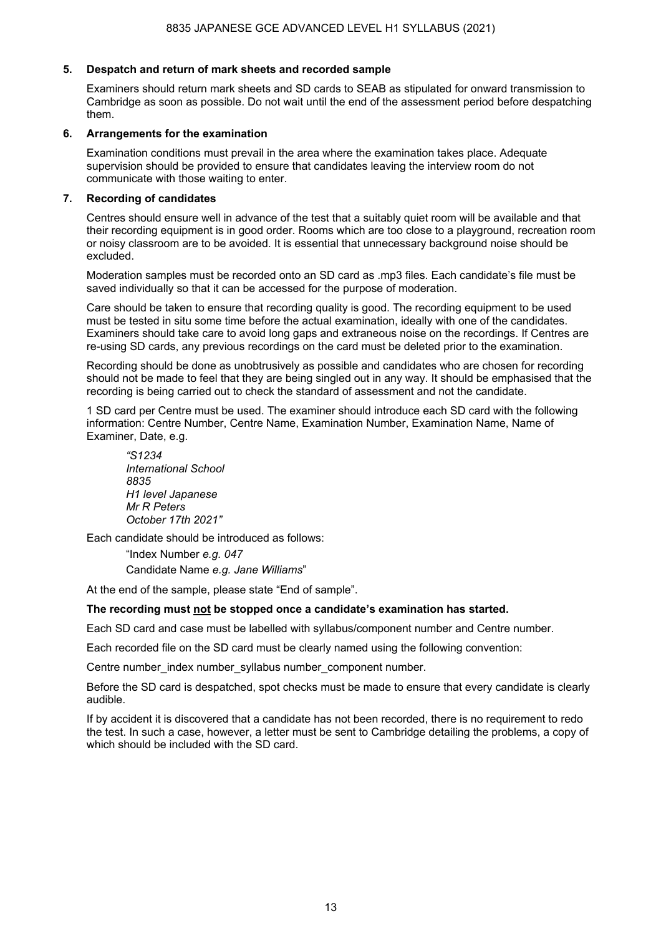#### **5. Despatch and return of mark sheets and recorded sample**

 Examiners should return mark sheets and SD cards to SEAB as stipulated for onward transmission to Cambridge as soon as possible. Do not wait until the end of the assessment period before despatching them.

#### **6. Arrangements for the examination**

Examination conditions must prevail in the area where the examination takes place. Adequate supervision should be provided to ensure that candidates leaving the interview room do not communicate with those waiting to enter.

#### **7. Recording of candidates**

 Centres should ensure well in advance of the test that a suitably quiet room will be available and that their recording equipment is in good order. Rooms which are too close to a playground, recreation room or noisy classroom are to be avoided. It is essential that unnecessary background noise should be excluded.

Moderation samples must be recorded onto an SD card as .mp3 files. Each candidate's file must be saved individually so that it can be accessed for the purpose of moderation.

 Care should be taken to ensure that recording quality is good. The recording equipment to be used must be tested in situ some time before the actual examination, ideally with one of the candidates. Examiners should take care to avoid long gaps and extraneous noise on the recordings. If Centres are re-using SD cards, any previous recordings on the card must be deleted prior to the examination.

 Recording should be done as unobtrusively as possible and candidates who are chosen for recording should not be made to feel that they are being singled out in any way. It should be emphasised that the recording is being carried out to check the standard of assessment and not the candidate.

 1 SD card per Centre must be used. The examiner should introduce each SD card with the following information: Centre Number, Centre Name, Examination Number, Examination Name, Name of Examiner, Date, e.g.

*"S1234 International School 8835 H1 level Japanese Mr R Peters October 17th 2021"*

Each candidate should be introduced as follows:

"Index Number *e.g. 047* Candidate Name *e.g. Jane Williams*"

At the end of the sample, please state "End of sample".

#### **The recording must not be stopped once a candidate's examination has started.**

Each SD card and case must be labelled with syllabus/component number and Centre number.

Each recorded file on the SD card must be clearly named using the following convention:

Centre number index number syllabus number component number.

Before the SD card is despatched, spot checks must be made to ensure that every candidate is clearly audible.

If by accident it is discovered that a candidate has not been recorded, there is no requirement to redo the test. In such a case, however, a letter must be sent to Cambridge detailing the problems, a copy of which should be included with the SD card.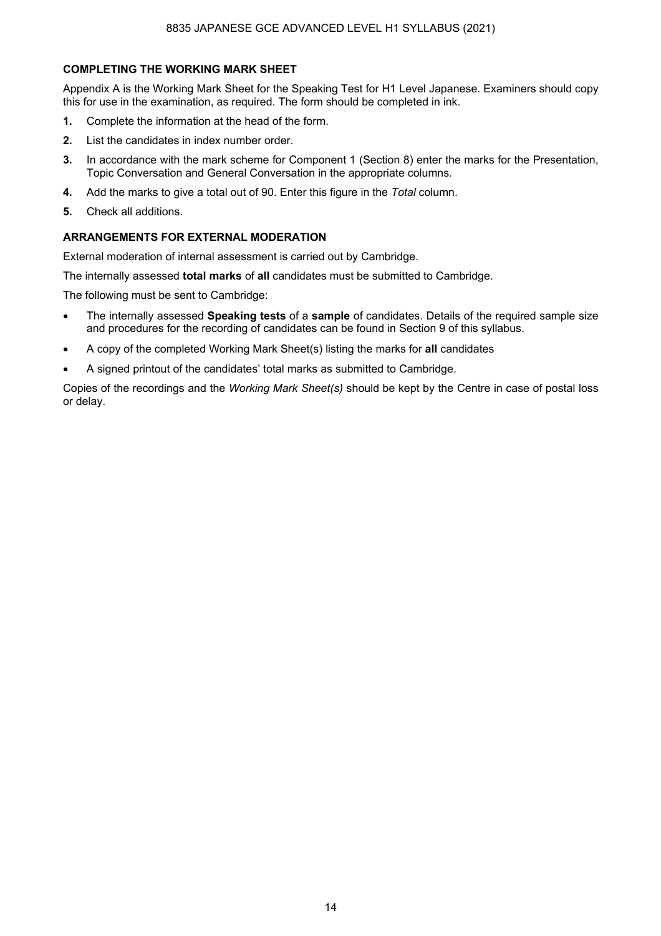#### **COMPLETING THE WORKING MARK SHEET**

Appendix A is the Working Mark Sheet for the Speaking Test for H1 Level Japanese. Examiners should copy this for use in the examination, as required. The form should be completed in ink.

- **1.** Complete the information at the head of the form.
- **2.** List the candidates in index number order.
- **3.** In accordance with the mark scheme for Component 1 (Section 8) enter the marks for the Presentation, Topic Conversation and General Conversation in the appropriate columns.
- **4.** Add the marks to give a total out of 90. Enter this figure in the *Total* column.
- **5.** Check all additions.

#### **ARRANGEMENTS FOR EXTERNAL MODERATION**

External moderation of internal assessment is carried out by Cambridge.

The internally assessed **total marks** of **all** candidates must be submitted to Cambridge.

The following must be sent to Cambridge:

- The internally assessed **Speaking tests** of a **sample** of candidates. Details of the required sample size and procedures for the recording of candidates can be found in Section 9 of this syllabus.
- A copy of the completed Working Mark Sheet(s) listing the marks for **all** candidates
- A signed printout of the candidates' total marks as submitted to Cambridge.

Copies of the recordings and the *Working Mark Sheet(s)* should be kept by the Centre in case of postal loss or delay.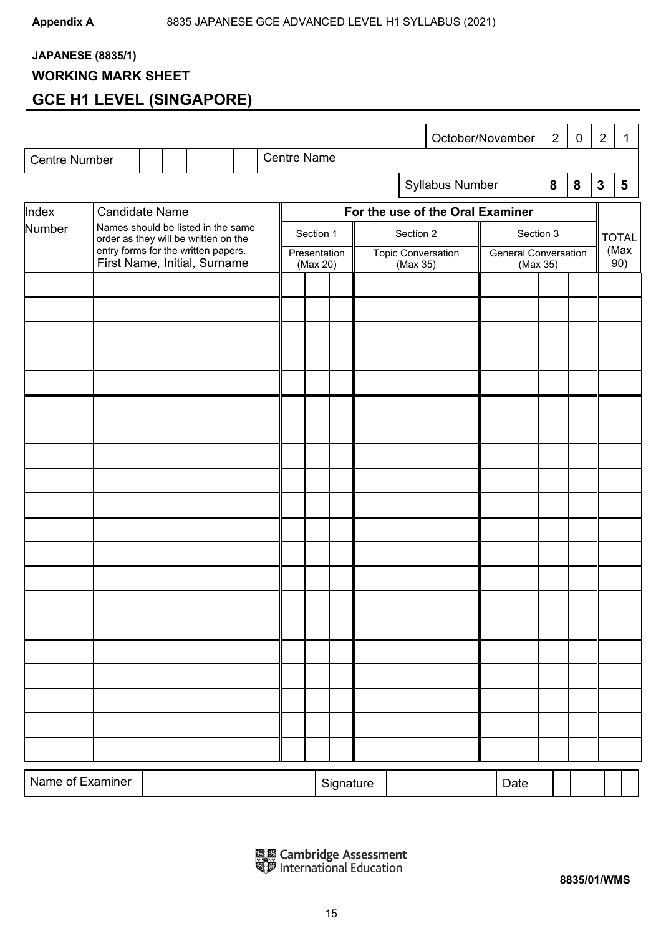### **JAPANESE (8835/1)**

#### **WORKING MARK SHEET**

### **GCE H1 LEVEL (SINGAPORE)**

|                                |                                                                     |                                                                            |  |  |  |  |                    |                          |                                  |           |                           |          |  |  | October/November |                             |          | $\overline{2}$ | $\mathbf 0$ | $\overline{2}$ | 1 |           |  |  |  |           |  |  |  |  |           |  |  |              |  |
|--------------------------------|---------------------------------------------------------------------|----------------------------------------------------------------------------|--|--|--|--|--------------------|--------------------------|----------------------------------|-----------|---------------------------|----------|--|--|------------------|-----------------------------|----------|----------------|-------------|----------------|---|-----------|--|--|--|-----------|--|--|--|--|-----------|--|--|--------------|--|
| <b>Centre Number</b>           |                                                                     |                                                                            |  |  |  |  | <b>Centre Name</b> |                          |                                  |           |                           |          |  |  |                  |                             |          |                |             |                |   |           |  |  |  |           |  |  |  |  |           |  |  |              |  |
|                                |                                                                     |                                                                            |  |  |  |  |                    |                          |                                  |           |                           |          |  |  | Syllabus Number  |                             |          | 8              | 8           | $\mathbf{3}$   | 5 |           |  |  |  |           |  |  |  |  |           |  |  |              |  |
| Index<br><b>Candidate Name</b> |                                                                     |                                                                            |  |  |  |  |                    |                          | For the use of the Oral Examiner |           |                           |          |  |  |                  |                             |          |                |             |                |   |           |  |  |  |           |  |  |  |  |           |  |  |              |  |
| Number                         |                                                                     | Names should be listed in the same<br>order as they will be written on the |  |  |  |  |                    |                          |                                  |           |                           |          |  |  |                  |                             |          |                |             |                |   | Section 1 |  |  |  | Section 2 |  |  |  |  | Section 3 |  |  | <b>TOTAL</b> |  |
|                                | entry forms for the written papers.<br>First Name, Initial, Surname |                                                                            |  |  |  |  |                    | Presentation<br>(Max 20) |                                  |           | <b>Topic Conversation</b> | (Max 35) |  |  |                  | <b>General Conversation</b> | (Max 35) |                |             | (Max<br>90)    |   |           |  |  |  |           |  |  |  |  |           |  |  |              |  |
|                                |                                                                     |                                                                            |  |  |  |  |                    |                          |                                  |           |                           |          |  |  |                  |                             |          |                |             |                |   |           |  |  |  |           |  |  |  |  |           |  |  |              |  |
|                                |                                                                     |                                                                            |  |  |  |  |                    |                          |                                  |           |                           |          |  |  |                  |                             |          |                |             |                |   |           |  |  |  |           |  |  |  |  |           |  |  |              |  |
|                                |                                                                     |                                                                            |  |  |  |  |                    |                          |                                  |           |                           |          |  |  |                  |                             |          |                |             |                |   |           |  |  |  |           |  |  |  |  |           |  |  |              |  |
|                                |                                                                     |                                                                            |  |  |  |  |                    |                          |                                  |           |                           |          |  |  |                  |                             |          |                |             |                |   |           |  |  |  |           |  |  |  |  |           |  |  |              |  |
|                                |                                                                     |                                                                            |  |  |  |  |                    |                          |                                  |           |                           |          |  |  |                  |                             |          |                |             |                |   |           |  |  |  |           |  |  |  |  |           |  |  |              |  |
|                                |                                                                     |                                                                            |  |  |  |  |                    |                          |                                  |           |                           |          |  |  |                  |                             |          |                |             |                |   |           |  |  |  |           |  |  |  |  |           |  |  |              |  |
|                                |                                                                     |                                                                            |  |  |  |  |                    |                          |                                  |           |                           |          |  |  |                  |                             |          |                |             |                |   |           |  |  |  |           |  |  |  |  |           |  |  |              |  |
|                                |                                                                     |                                                                            |  |  |  |  |                    |                          |                                  |           |                           |          |  |  |                  |                             |          |                |             |                |   |           |  |  |  |           |  |  |  |  |           |  |  |              |  |
|                                |                                                                     |                                                                            |  |  |  |  |                    |                          |                                  |           |                           |          |  |  |                  |                             |          |                |             |                |   |           |  |  |  |           |  |  |  |  |           |  |  |              |  |
|                                |                                                                     |                                                                            |  |  |  |  |                    |                          |                                  |           |                           |          |  |  |                  |                             |          |                |             |                |   |           |  |  |  |           |  |  |  |  |           |  |  |              |  |
|                                |                                                                     |                                                                            |  |  |  |  |                    |                          |                                  |           |                           |          |  |  |                  |                             |          |                |             |                |   |           |  |  |  |           |  |  |  |  |           |  |  |              |  |
|                                |                                                                     |                                                                            |  |  |  |  |                    |                          |                                  |           |                           |          |  |  |                  |                             |          |                |             |                |   |           |  |  |  |           |  |  |  |  |           |  |  |              |  |
|                                |                                                                     |                                                                            |  |  |  |  |                    |                          |                                  |           |                           |          |  |  |                  |                             |          |                |             |                |   |           |  |  |  |           |  |  |  |  |           |  |  |              |  |
|                                |                                                                     |                                                                            |  |  |  |  |                    |                          |                                  |           |                           |          |  |  |                  |                             |          |                |             |                |   |           |  |  |  |           |  |  |  |  |           |  |  |              |  |
|                                |                                                                     |                                                                            |  |  |  |  |                    |                          |                                  |           |                           |          |  |  |                  |                             |          |                |             |                |   |           |  |  |  |           |  |  |  |  |           |  |  |              |  |
|                                |                                                                     |                                                                            |  |  |  |  |                    |                          |                                  |           |                           |          |  |  |                  |                             |          |                |             |                |   |           |  |  |  |           |  |  |  |  |           |  |  |              |  |
|                                |                                                                     |                                                                            |  |  |  |  |                    |                          |                                  |           |                           |          |  |  |                  |                             |          |                |             |                |   |           |  |  |  |           |  |  |  |  |           |  |  |              |  |
|                                |                                                                     |                                                                            |  |  |  |  |                    |                          |                                  |           |                           |          |  |  |                  |                             |          |                |             |                |   |           |  |  |  |           |  |  |  |  |           |  |  |              |  |
| Name of Examiner               |                                                                     |                                                                            |  |  |  |  |                    |                          |                                  | Signature |                           |          |  |  |                  |                             | Date     |                |             |                |   |           |  |  |  |           |  |  |  |  |           |  |  |              |  |

區區 Cambridge Assessment<br><sup>電</sup>罗 International Education